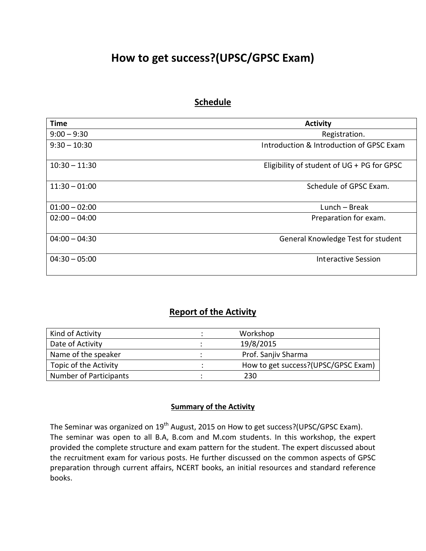## **How to get success?(UPSC/GPSC Exam)**

## **Schedule**

| <b>Time</b>     | <b>Activity</b>                            |
|-----------------|--------------------------------------------|
| $9:00 - 9:30$   | Registration.                              |
| $9:30 - 10:30$  | Introduction & Introduction of GPSC Exam   |
| $10:30 - 11:30$ | Eligibility of student of UG + PG for GPSC |
| $11:30 - 01:00$ | Schedule of GPSC Exam.                     |
| $01:00 - 02:00$ | $Lunch - Break$                            |
| $02:00 - 04:00$ | Preparation for exam.                      |
| $04:00 - 04:30$ | <b>General Knowledge Test for student</b>  |
| $04:30 - 05:00$ | Interactive Session                        |

## **Report of the Activity**

| Kind of Activity       | Workshop                            |
|------------------------|-------------------------------------|
| Date of Activity       | 19/8/2015                           |
| Name of the speaker    | Prof. Sanjiv Sharma                 |
| Topic of the Activity  | How to get success?(UPSC/GPSC Exam) |
| Number of Participants | 230                                 |

## **Summary of the Activity**

The Seminar was organized on 19<sup>th</sup> August, 2015 on How to get success?(UPSC/GPSC Exam). The seminar was open to all B.A, B.com and M.com students. In this workshop, the expert provided the complete structure and exam pattern for the student. The expert discussed about the recruitment exam for various posts. He further discussed on the common aspects of GPSC preparation through current affairs, NCERT books, an initial resources and standard reference books.